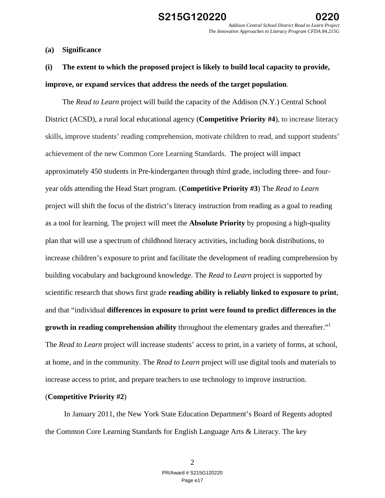**(a) Significance** 

# **(i) The extent to which the proposed project is likely to build local capacity to provide, improve, or expand services that address the needs of the target population**.

The *Read to Learn* project will build the capacity of the Addison (N.Y.) Central School District (ACSD), a rural local educational agency (**Competitive Priority #4**), to increase literacy skills, improve students' reading comprehension, motivate children to read, and support students' achievement of the new Common Core Learning Standards. The project will impact approximately 450 students in Pre-kindergarten through third grade, including three- and fouryear olds attending the Head Start program. (**Competitive Priority #3**) The *Read to Learn*  project will shift the focus of the district's literacy instruction from reading as a goal to reading as a tool for learning. The project will meet the **Absolute Priority** by proposing a high-quality plan that will use a spectrum of childhood literacy activities, including book distributions, to increase children's exposure to print and facilitate the development of reading comprehension by building vocabulary and background knowledge. The *Read to Learn* project is supported by scientific research that shows first grade **reading ability is reliably linked to exposure to print**, and that "individual **differences in exposure to print were found to predict differences in the growth in reading comprehension ability** throughout the elementary grades and thereafter."<sup>1</sup> The *Read to Learn* project will increase students' access to print, in a variety of forms, at school, at home, and in the community. The *Read to Learn* project will use digital tools and materials to increase access to print, and prepare teachers to use technology to improve instruction.

### (**Competitive Priority #2**)

 In January 2011, the New York State Education Department's Board of Regents adopted the Common Core Learning Standards for English Language Arts & Literacy. The key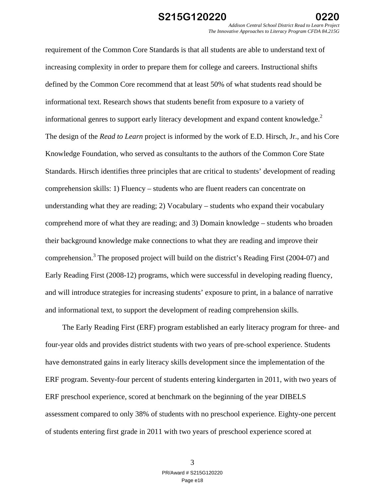requirement of the Common Core Standards is that all students are able to understand text of increasing complexity in order to prepare them for college and careers. Instructional shifts defined by the Common Core recommend that at least 50% of what students read should be informational text. Research shows that students benefit from exposure to a variety of informational genres to support early literacy development and expand content knowledge. $2$ The design of the *Read to Learn* project is informed by the work of E.D. Hirsch, Jr., and his Core Knowledge Foundation, who served as consultants to the authors of the Common Core State Standards. Hirsch identifies three principles that are critical to students' development of reading comprehension skills: 1) Fluency – students who are fluent readers can concentrate on understanding what they are reading; 2) Vocabulary – students who expand their vocabulary comprehend more of what they are reading; and 3) Domain knowledge – students who broaden their background knowledge make connections to what they are reading and improve their comprehension.<sup>3</sup> The proposed project will build on the district's Reading First (2004-07) and Early Reading First (2008-12) programs, which were successful in developing reading fluency, and will introduce strategies for increasing students' exposure to print, in a balance of narrative and informational text, to support the development of reading comprehension skills.

The Early Reading First (ERF) program established an early literacy program for three- and four-year olds and provides district students with two years of pre-school experience. Students have demonstrated gains in early literacy skills development since the implementation of the ERF program. Seventy-four percent of students entering kindergarten in 2011, with two years of ERF preschool experience, scored at benchmark on the beginning of the year DIBELS assessment compared to only 38% of students with no preschool experience. Eighty-one percent of students entering first grade in 2011 with two years of preschool experience scored at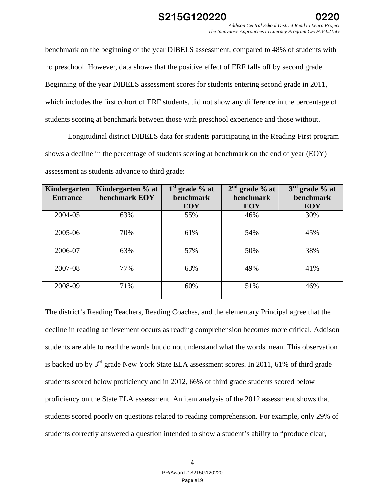

benchmark on the beginning of the year DIBELS assessment, compared to 48% of students with no preschool. However, data shows that the positive effect of ERF falls off by second grade. Beginning of the year DIBELS assessment scores for students entering second grade in 2011, which includes the first cohort of ERF students, did not show any difference in the percentage of students scoring at benchmark between those with preschool experience and those without.

Longitudinal district DIBELS data for students participating in the Reading First program shows a decline in the percentage of students scoring at benchmark on the end of year (EOY) assessment as students advance to third grade:

| Kindergarten<br><b>Entrance</b> | Kindergarten % at<br>benchmark EOY | $1st$ grade % at<br><b>benchmark</b> | $2nd$ grade % at<br><b>benchmark</b> | $3rd$ grade % at<br>benchmark |
|---------------------------------|------------------------------------|--------------------------------------|--------------------------------------|-------------------------------|
|                                 |                                    | <b>EOY</b>                           | <b>EOY</b>                           | <b>EOY</b>                    |
| 2004-05                         | 63%                                | 55%                                  | 46%                                  | 30%                           |
| 2005-06                         | 70%                                | 61%                                  | 54%                                  | 45%                           |
| 2006-07                         | 63%                                | 57%                                  | 50%                                  | 38%                           |
| 2007-08                         | 77%                                | 63%                                  | 49%                                  | 41%                           |
| 2008-09                         | 71%                                | 60%                                  | 51%                                  | 46%                           |

The district's Reading Teachers, Reading Coaches, and the elementary Principal agree that the decline in reading achievement occurs as reading comprehension becomes more critical. Addison students are able to read the words but do not understand what the words mean. This observation is backed up by 3rd grade New York State ELA assessment scores. In 2011, 61% of third grade students scored below proficiency and in 2012, 66% of third grade students scored below proficiency on the State ELA assessment. An item analysis of the 2012 assessment shows that students scored poorly on questions related to reading comprehension. For example, only 29% of students correctly answered a question intended to show a student's ability to "produce clear,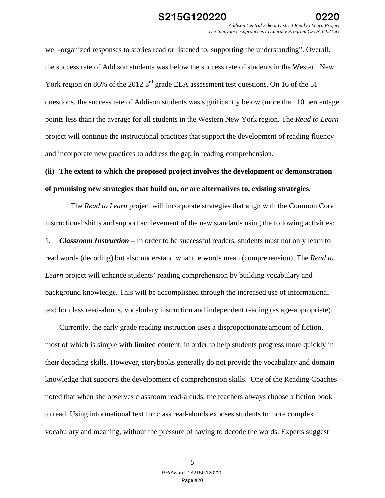well-organized responses to stories read or listened to, supporting the understanding". Overall, the success rate of Addison students was below the success rate of students in the Western New York region on 86% of the 2012 3<sup>rd</sup> grade ELA assessment test questions. On 16 of the 51 questions, the success rate of Addison students was significantly below (more than 10 percentage points less than) the average for all students in the Western New York region. The *Read to Learn*  project will continue the instructional practices that support the development of reading fluency and incorporate new practices to address the gap in reading comprehension.

# **(ii) The extent to which the proposed project involves the development or demonstration of promising new strategies that build on, or are alternatives to, existing strategies**.

 The *Read to Learn* project will incorporate strategies that align with the Common Core instructional shifts and support achievement of the new standards using the following activities:

1. *Classroom Instruction –* In order to be successful readers, students must not only learn to read words (decoding) but also understand what the words mean (comprehension). The *Read to Learn* project will enhance students' reading comprehension by building vocabulary and background knowledge. This will be accomplished through the increased use of informational text for class read-alouds, vocabulary instruction and independent reading (as age-appropriate).

Currently, the early grade reading instruction uses a disproportionate amount of fiction, most of which is simple with limited content, in order to help students progress more quickly in their decoding skills. However, storybooks generally do not provide the vocabulary and domain knowledge that supports the development of comprehension skills. One of the Reading Coaches noted that when she observes classroom read-alouds, the teachers always choose a fiction book to read. Using informational text for class read-alouds exposes students to more complex vocabulary and meaning, without the pressure of having to decode the words. Experts suggest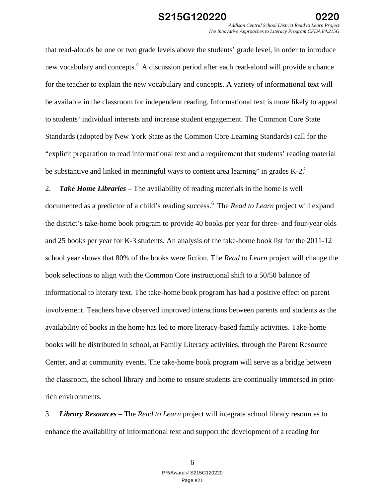*Addison Central School District Read to Learn Project The Innovative Approaches to Literacy Program CFDA 84.215G* 

that read-alouds be one or two grade levels above the students' grade level, in order to introduce new vocabulary and concepts.<sup>4</sup> A discussion period after each read-aloud will provide a chance for the teacher to explain the new vocabulary and concepts. A variety of informational text will be available in the classroom for independent reading. Informational text is more likely to appeal to students' individual interests and increase student engagement. The Common Core State Standards (adopted by New York State as the Common Core Learning Standards) call for the "explicit preparation to read informational text and a requirement that students' reading material be substantive and linked in meaningful ways to content area learning" in grades  $K-2$ .<sup>5</sup>

2. *Take Home Libraries –* The availability of reading materials in the home is well documented as a predictor of a child's reading success.6 The *Read to Learn* project will expand the district's take-home book program to provide 40 books per year for three- and four-year olds and 25 books per year for K-3 students. An analysis of the take-home book list for the 2011-12 school year shows that 80% of the books were fiction. The *Read to Learn* project will change the book selections to align with the Common Core instructional shift to a 50/50 balance of informational to literary text. The take-home book program has had a positive effect on parent involvement. Teachers have observed improved interactions between parents and students as the availability of books in the home has led to more literacy-based family activities. Take-home books will be distributed in school, at Family Literacy activities, through the Parent Resource Center, and at community events. The take-home book program will serve as a bridge between the classroom, the school library and home to ensure students are continually immersed in printrich environments.

3. *Library Resources* – The *Read to Learn* project will integrate school library resources to enhance the availability of informational text and support the development of a reading for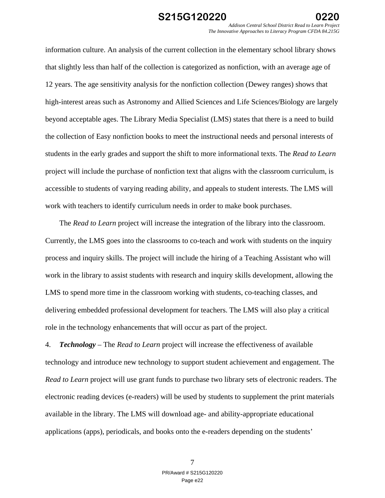information culture. An analysis of the current collection in the elementary school library shows that slightly less than half of the collection is categorized as nonfiction, with an average age of 12 years. The age sensitivity analysis for the nonfiction collection (Dewey ranges) shows that high-interest areas such as Astronomy and Allied Sciences and Life Sciences/Biology are largely beyond acceptable ages. The Library Media Specialist (LMS) states that there is a need to build the collection of Easy nonfiction books to meet the instructional needs and personal interests of students in the early grades and support the shift to more informational texts. The *Read to Learn*  project will include the purchase of nonfiction text that aligns with the classroom curriculum, is accessible to students of varying reading ability, and appeals to student interests. The LMS will work with teachers to identify curriculum needs in order to make book purchases.

The *Read to Learn* project will increase the integration of the library into the classroom. Currently, the LMS goes into the classrooms to co-teach and work with students on the inquiry process and inquiry skills. The project will include the hiring of a Teaching Assistant who will work in the library to assist students with research and inquiry skills development, allowing the LMS to spend more time in the classroom working with students, co-teaching classes, and delivering embedded professional development for teachers. The LMS will also play a critical role in the technology enhancements that will occur as part of the project.

4. *Technology* – The *Read to Learn* project will increase the effectiveness of available technology and introduce new technology to support student achievement and engagement. The *Read to Learn* project will use grant funds to purchase two library sets of electronic readers. The electronic reading devices (e-readers) will be used by students to supplement the print materials available in the library. The LMS will download age- and ability-appropriate educational applications (apps), periodicals, and books onto the e-readers depending on the students'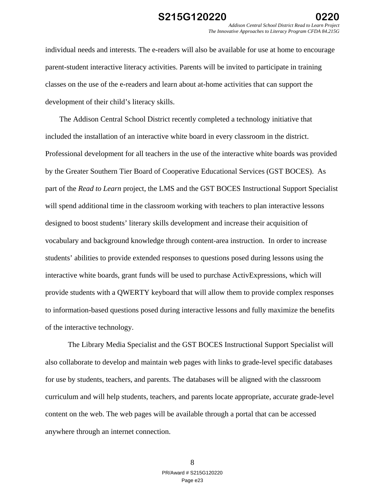*Addison Central School District Read to Learn Project The Innovative Approaches to Literacy Program CFDA 84.215G* 

individual needs and interests. The e-readers will also be available for use at home to encourage parent-student interactive literacy activities. Parents will be invited to participate in training classes on the use of the e-readers and learn about at-home activities that can support the development of their child's literacy skills.

 The Addison Central School District recently completed a technology initiative that included the installation of an interactive white board in every classroom in the district. Professional development for all teachers in the use of the interactive white boards was provided by the Greater Southern Tier Board of Cooperative Educational Services (GST BOCES). As part of the *Read to Learn* project, the LMS and the GST BOCES Instructional Support Specialist will spend additional time in the classroom working with teachers to plan interactive lessons designed to boost students' literary skills development and increase their acquisition of vocabulary and background knowledge through content-area instruction. In order to increase students' abilities to provide extended responses to questions posed during lessons using the interactive white boards, grant funds will be used to purchase ActivExpressions, which will provide students with a QWERTY keyboard that will allow them to provide complex responses to information-based questions posed during interactive lessons and fully maximize the benefits of the interactive technology.

 The Library Media Specialist and the GST BOCES Instructional Support Specialist will also collaborate to develop and maintain web pages with links to grade-level specific databases for use by students, teachers, and parents. The databases will be aligned with the classroom curriculum and will help students, teachers, and parents locate appropriate, accurate grade-level content on the web. The web pages will be available through a portal that can be accessed anywhere through an internet connection.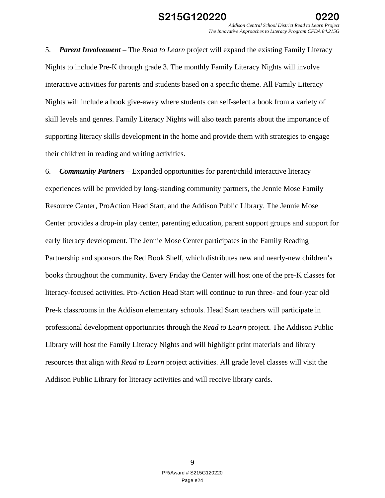5. *Parent Involvement* – The *Read to Learn* project will expand the existing Family Literacy Nights to include Pre-K through grade 3. The monthly Family Literacy Nights will involve interactive activities for parents and students based on a specific theme. All Family Literacy Nights will include a book give-away where students can self-select a book from a variety of skill levels and genres. Family Literacy Nights will also teach parents about the importance of supporting literacy skills development in the home and provide them with strategies to engage their children in reading and writing activities.

6. *Community Partners* – Expanded opportunities for parent/child interactive literacy experiences will be provided by long-standing community partners, the Jennie Mose Family Resource Center, ProAction Head Start, and the Addison Public Library. The Jennie Mose Center provides a drop-in play center, parenting education, parent support groups and support for early literacy development. The Jennie Mose Center participates in the Family Reading Partnership and sponsors the Red Book Shelf, which distributes new and nearly-new children's books throughout the community. Every Friday the Center will host one of the pre-K classes for literacy-focused activities. Pro-Action Head Start will continue to run three- and four-year old Pre-k classrooms in the Addison elementary schools. Head Start teachers will participate in professional development opportunities through the *Read to Learn* project. The Addison Public Library will host the Family Literacy Nights and will highlight print materials and library resources that align with *Read to Learn* project activities. All grade level classes will visit the Addison Public Library for literacy activities and will receive library cards.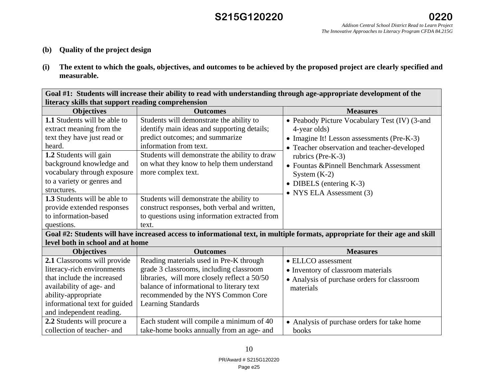## **S215G120220**

- **(b) Quality of the project design**
- **(i) The extent to which the goals, objectives, and outcomes to be achieved by the proposed project are clearly specified and measurable.**

**Goal #1: Students will increase their ability to read with understanding through age-appropriate development of the literacy skills that support reading comprehension**

| <b>Objectives</b>                   | <b>Outcomes</b>                               | <b>Measures</b>                                                                                                              |  |
|-------------------------------------|-----------------------------------------------|------------------------------------------------------------------------------------------------------------------------------|--|
| 1.1 Students will be able to        | Students will demonstrate the ability to      | • Peabody Picture Vocabulary Test (IV) (3-and                                                                                |  |
| extract meaning from the            | identify main ideas and supporting details;   | 4-year olds)                                                                                                                 |  |
| text they have just read or         | predict outcomes; and summarize               | • Imagine It! Lesson assessments (Pre-K-3)                                                                                   |  |
| heard.                              | information from text.                        | • Teacher observation and teacher-developed                                                                                  |  |
| 1.2 Students will gain              | Students will demonstrate the ability to draw | rubrics (Pre-K-3)                                                                                                            |  |
| background knowledge and            | on what they know to help them understand     | • Fountas & Pinnell Benchmark Assessment                                                                                     |  |
| vocabulary through exposure         | more complex text.                            | System $(K-2)$                                                                                                               |  |
| to a variety or genres and          |                                               | • DIBELS (entering $K-3$ )                                                                                                   |  |
| structures.                         |                                               | • NYS ELA Assessment $(3)$                                                                                                   |  |
| <b>1.3</b> Students will be able to | Students will demonstrate the ability to      |                                                                                                                              |  |
| provide extended responses          | construct responses, both verbal and written, |                                                                                                                              |  |
| to information-based                | to questions using information extracted from |                                                                                                                              |  |
| questions.                          | text.                                         |                                                                                                                              |  |
|                                     |                                               | Goal #2: Students will have increased access to informational text, in multiple formats, appropriate for their age and skill |  |
| level both in school and at home    |                                               |                                                                                                                              |  |
| <b>Objectives</b>                   | <b>Outcomes</b>                               | <b>Measures</b>                                                                                                              |  |
| 2.1 Classrooms will provide         | Reading materials used in Pre-K through       | • ELLCO assessment                                                                                                           |  |
| literacy-rich environments          | grade 3 classrooms, including classroom       | • Inventory of classroom materials                                                                                           |  |
| that include the increased          | libraries, will more closely reflect a 50/50  | • Analysis of purchase orders for classroom                                                                                  |  |
| availability of age- and            | balance of informational to literary text     | materials                                                                                                                    |  |
| ability-appropriate                 | recommended by the NYS Common Core            |                                                                                                                              |  |
| informational text for guided       | <b>Learning Standards</b>                     |                                                                                                                              |  |
| and independent reading.            |                                               |                                                                                                                              |  |
| 2.2 Students will procure a         | Each student will compile a minimum of 40     | • Analysis of purchase orders for take home                                                                                  |  |
| collection of teacher- and          | take-home books annually from an age- and     | books                                                                                                                        |  |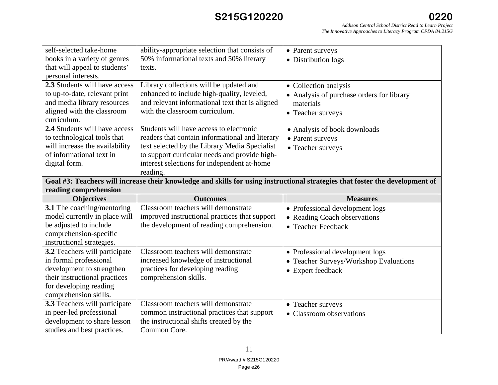# **S215G120220**

| self-selected take-home<br>books in a variety of genres<br>that will appeal to students'                                     | ability-appropriate selection that consists of<br>50% informational texts and 50% literary<br>texts. | • Parent surveys<br>• Distribution logs   |  |
|------------------------------------------------------------------------------------------------------------------------------|------------------------------------------------------------------------------------------------------|-------------------------------------------|--|
| personal interests.                                                                                                          |                                                                                                      |                                           |  |
| 2.3 Students will have access                                                                                                | Library collections will be updated and                                                              | • Collection analysis                     |  |
| to up-to-date, relevant print                                                                                                | enhanced to include high-quality, leveled,                                                           | • Analysis of purchase orders for library |  |
| and media library resources                                                                                                  | and relevant informational text that is aligned                                                      | materials                                 |  |
| aligned with the classroom<br>curriculum.                                                                                    | with the classroom curriculum.                                                                       | • Teacher surveys                         |  |
| 2.4 Students will have access                                                                                                | Students will have access to electronic                                                              | • Analysis of book downloads              |  |
| to technological tools that                                                                                                  | readers that contain informational and literary                                                      | • Parent surveys                          |  |
| will increase the availability                                                                                               | text selected by the Library Media Specialist                                                        | • Teacher surveys                         |  |
| of informational text in                                                                                                     | to support curricular needs and provide high-                                                        |                                           |  |
| digital form.                                                                                                                | interest selections for independent at-home                                                          |                                           |  |
|                                                                                                                              | reading.                                                                                             |                                           |  |
| Goal #3: Teachers will increase their knowledge and skills for using instructional strategies that foster the development of |                                                                                                      |                                           |  |
| reading comprehension                                                                                                        |                                                                                                      |                                           |  |
|                                                                                                                              |                                                                                                      |                                           |  |
| <b>Objectives</b>                                                                                                            | <b>Outcomes</b>                                                                                      | <b>Measures</b>                           |  |
| 3.1 The coaching/mentoring                                                                                                   | Classroom teachers will demonstrate                                                                  | • Professional development logs           |  |
| model currently in place will                                                                                                | improved instructional practices that support                                                        | • Reading Coach observations              |  |
| be adjusted to include                                                                                                       | the development of reading comprehension.                                                            | • Teacher Feedback                        |  |
| comprehension-specific                                                                                                       |                                                                                                      |                                           |  |
| instructional strategies.                                                                                                    |                                                                                                      |                                           |  |
| 3.2 Teachers will participate                                                                                                | Classroom teachers will demonstrate                                                                  | • Professional development logs           |  |
| in formal professional                                                                                                       | increased knowledge of instructional                                                                 | • Teacher Surveys/Workshop Evaluations    |  |
| development to strengthen                                                                                                    | practices for developing reading                                                                     | • Expert feedback                         |  |
| their instructional practices                                                                                                | comprehension skills.                                                                                |                                           |  |
| for developing reading                                                                                                       |                                                                                                      |                                           |  |
| comprehension skills.                                                                                                        |                                                                                                      |                                           |  |
| 3.3 Teachers will participate                                                                                                | Classroom teachers will demonstrate                                                                  | • Teacher surveys                         |  |
| in peer-led professional                                                                                                     | common instructional practices that support                                                          | • Classroom observations                  |  |
| development to share lesson<br>studies and best practices.                                                                   | the instructional shifts created by the<br>Common Core.                                              |                                           |  |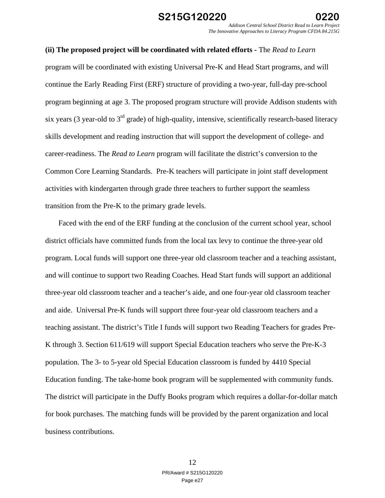### **(ii) The proposed project will be coordinated with related efforts -** The *Read to Learn*

program will be coordinated with existing Universal Pre-K and Head Start programs, and will continue the Early Reading First (ERF) structure of providing a two-year, full-day pre-school program beginning at age 3. The proposed program structure will provide Addison students with six years (3 year-old to  $3<sup>rd</sup>$  grade) of high-quality, intensive, scientifically research-based literacy skills development and reading instruction that will support the development of college- and career-readiness. The *Read to Learn* program will facilitate the district's conversion to the Common Core Learning Standards. Pre-K teachers will participate in joint staff development activities with kindergarten through grade three teachers to further support the seamless transition from the Pre-K to the primary grade levels.

 Faced with the end of the ERF funding at the conclusion of the current school year, school district officials have committed funds from the local tax levy to continue the three-year old program. Local funds will support one three-year old classroom teacher and a teaching assistant, and will continue to support two Reading Coaches. Head Start funds will support an additional three-year old classroom teacher and a teacher's aide, and one four-year old classroom teacher and aide. Universal Pre-K funds will support three four-year old classroom teachers and a teaching assistant. The district's Title I funds will support two Reading Teachers for grades Pre-K through 3. Section 611/619 will support Special Education teachers who serve the Pre-K-3 population. The 3- to 5-year old Special Education classroom is funded by 4410 Special Education funding. The take-home book program will be supplemented with community funds. The district will participate in the Duffy Books program which requires a dollar-for-dollar match for book purchases. The matching funds will be provided by the parent organization and local business contributions.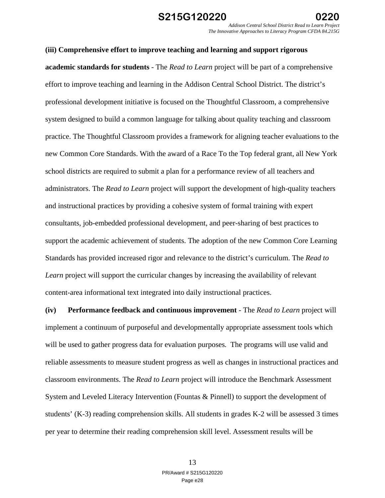# **(iii) Comprehensive effort to improve teaching and learning and support rigorous academic standards for students** - The *Read to Learn* project will be part of a comprehensive effort to improve teaching and learning in the Addison Central School District. The district's professional development initiative is focused on the Thoughtful Classroom, a comprehensive system designed to build a common language for talking about quality teaching and classroom practice. The Thoughtful Classroom provides a framework for aligning teacher evaluations to the new Common Core Standards. With the award of a Race To the Top federal grant, all New York school districts are required to submit a plan for a performance review of all teachers and administrators. The *Read to Learn* project will support the development of high-quality teachers and instructional practices by providing a cohesive system of formal training with expert consultants, job-embedded professional development, and peer-sharing of best practices to support the academic achievement of students. The adoption of the new Common Core Learning Standards has provided increased rigor and relevance to the district's curriculum. The *Read to Learn* project will support the curricular changes by increasing the availability of relevant content-area informational text integrated into daily instructional practices.

**(iv) Performance feedback and continuous improvement** - The *Read to Learn* project will implement a continuum of purposeful and developmentally appropriate assessment tools which will be used to gather progress data for evaluation purposes*.* The programs will use valid and reliable assessments to measure student progress as well as changes in instructional practices and classroom environments. The *Read to Learn* project will introduce the Benchmark Assessment System and Leveled Literacy Intervention (Fountas & Pinnell) to support the development of students' (K-3) reading comprehension skills. All students in grades K-2 will be assessed 3 times per year to determine their reading comprehension skill level. Assessment results will be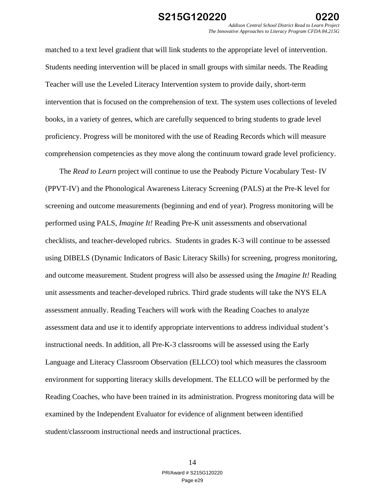matched to a text level gradient that will link students to the appropriate level of intervention. Students needing intervention will be placed in small groups with similar needs. The Reading Teacher will use the Leveled Literacy Intervention system to provide daily, short-term intervention that is focused on the comprehension of text. The system uses collections of leveled books, in a variety of genres, which are carefully sequenced to bring students to grade level proficiency. Progress will be monitored with the use of Reading Records which will measure comprehension competencies as they move along the continuum toward grade level proficiency.

The *Read to Learn* project will continue to use the Peabody Picture Vocabulary Test- IV (PPVT-IV) and the Phonological Awareness Literacy Screening (PALS) at the Pre-K level for screening and outcome measurements (beginning and end of year). Progress monitoring will be performed using PALS, *Imagine It!* Reading Pre-K unit assessments and observational checklists, and teacher-developed rubrics. Students in grades K-3 will continue to be assessed using DIBELS (Dynamic Indicators of Basic Literacy Skills) for screening, progress monitoring, and outcome measurement. Student progress will also be assessed using the *Imagine It!* Reading unit assessments and teacher-developed rubrics. Third grade students will take the NYS ELA assessment annually. Reading Teachers will work with the Reading Coaches to analyze assessment data and use it to identify appropriate interventions to address individual student's instructional needs. In addition, all Pre-K-3 classrooms will be assessed using the Early Language and Literacy Classroom Observation (ELLCO) tool which measures the classroom environment for supporting literacy skills development. The ELLCO will be performed by the Reading Coaches, who have been trained in its administration. Progress monitoring data will be examined by the Independent Evaluator for evidence of alignment between identified student/classroom instructional needs and instructional practices.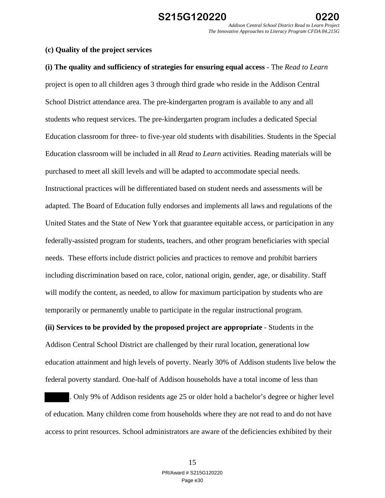### **(c) Quality of the project services**

**(i) The quality and sufficiency of strategies for ensuring equal access** - The *Read to Learn*  project is open to all children ages 3 through third grade who reside in the Addison Central School District attendance area. The pre-kindergarten program is available to any and all students who request services. The pre-kindergarten program includes a dedicated Special Education classroom for three- to five-year old students with disabilities. Students in the Special Education classroom will be included in all *Read to Learn* activities. Reading materials will be purchased to meet all skill levels and will be adapted to accommodate special needs. Instructional practices will be differentiated based on student needs and assessments will be adapted. The Board of Education fully endorses and implements all laws and regulations of the United States and the State of New York that guarantee equitable access, or participation in any federally-assisted program for students, teachers, and other program beneficiaries with special needs. These efforts include district policies and practices to remove and prohibit barriers including discrimination based on race, color, national origin, gender, age, or disability. Staff will modify the content, as needed, to allow for maximum participation by students who are temporarily or permanently unable to participate in the regular instructional program. **(ii) Services to be provided by the proposed project are appropriate** - Students in the

Addison Central School District are challenged by their rural location, generational low education attainment and high levels of poverty. Nearly 30% of Addison students live below the federal poverty standard. One-half of Addison households have a total income of less than

. Only 9% of Addison residents age 25 or older hold a bachelor's degree or higher level of education. Many children come from households where they are not read to and do not have access to print resources. School administrators are aware of the deficiencies exhibited by their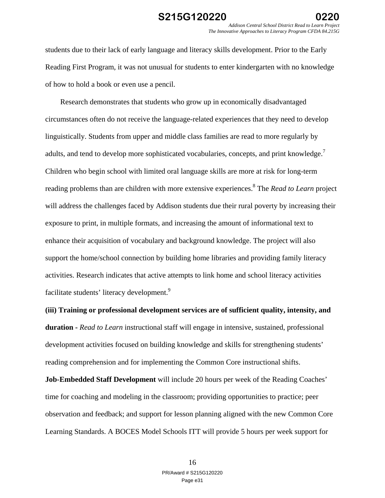students due to their lack of early language and literacy skills development. Prior to the Early Reading First Program, it was not unusual for students to enter kindergarten with no knowledge of how to hold a book or even use a pencil.

 Research demonstrates that students who grow up in economically disadvantaged circumstances often do not receive the language-related experiences that they need to develop linguistically. Students from upper and middle class families are read to more regularly by adults, and tend to develop more sophisticated vocabularies, concepts, and print knowledge.<sup>7</sup> Children who begin school with limited oral language skills are more at risk for long-term reading problems than are children with more extensive experiences.8 The *Read to Learn* project will address the challenges faced by Addison students due their rural poverty by increasing their exposure to print, in multiple formats, and increasing the amount of informational text to enhance their acquisition of vocabulary and background knowledge. The project will also support the home/school connection by building home libraries and providing family literacy activities. Research indicates that active attempts to link home and school literacy activities facilitate students' literacy development.<sup>9</sup>

**(iii) Training or professional development services are of sufficient quality, intensity, and duration -** *Read to Learn* instructional staff will engage in intensive, sustained, professional development activities focused on building knowledge and skills for strengthening students' reading comprehension and for implementing the Common Core instructional shifts.

**Job-Embedded Staff Development** will include 20 hours per week of the Reading Coaches' time for coaching and modeling in the classroom; providing opportunities to practice; peer observation and feedback; and support for lesson planning aligned with the new Common Core Learning Standards. A BOCES Model Schools ITT will provide 5 hours per week support for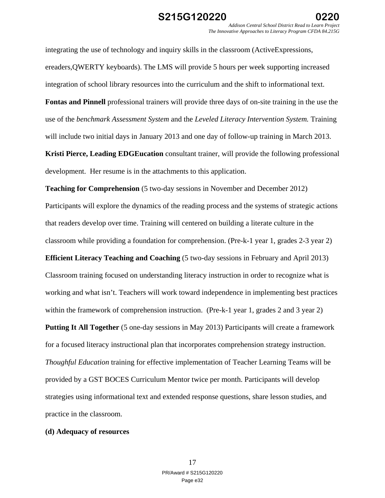integrating the use of technology and inquiry skills in the classroom (ActiveExpressions, ereaders,QWERTY keyboards). The LMS will provide 5 hours per week supporting increased integration of school library resources into the curriculum and the shift to informational text.

**Fontas and Pinnell** professional trainers will provide three days of on-site training in the use the use of the *benchmark Assessment System* and the *Leveled Literacy Intervention System.* Training will include two initial days in January 2013 and one day of follow-up training in March 2013.

**Kristi Pierce, Leading EDGEucation** consultant trainer, will provide the following professional development. Her resume is in the attachments to this application.

**Teaching for Comprehension** (5 two-day sessions in November and December 2012) Participants will explore the dynamics of the reading process and the systems of strategic actions that readers develop over time. Training will centered on building a literate culture in the classroom while providing a foundation for comprehension. (Pre-k-1 year 1, grades 2-3 year 2)

**Efficient Literacy Teaching and Coaching** (5 two-day sessions in February and April 2013) Classroom training focused on understanding literacy instruction in order to recognize what is working and what isn't. Teachers will work toward independence in implementing best practices within the framework of comprehension instruction. (Pre-k-1 year 1, grades 2 and 3 year 2)

**Putting It All Together** (5 one-day sessions in May 2013) Participants will create a framework for a focused literacy instructional plan that incorporates comprehension strategy instruction. *Thoughful Education* training for effective implementation of Teacher Learning Teams will be provided by a GST BOCES Curriculum Mentor twice per month. Participants will develop strategies using informational text and extended response questions, share lesson studies, and practice in the classroom.

### **(d) Adequacy of resources**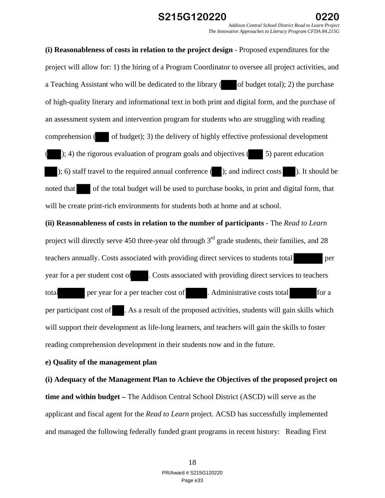### **S215G120220 0220**

*Addison Central School District Read to Learn Project The Innovative Approaches to Literacy Program CFDA 84.215G* 

**(i) Reasonableness of costs in relation to the project design** - Proposed expenditures for the project will allow for: 1) the hiring of a Program Coordinator to oversee all project activities, and a Teaching Assistant who will be dedicated to the library  $($  of budget total); 2) the purchase of high-quality literary and informational text in both print and digital form, and the purchase of an assessment system and intervention program for students who are struggling with reading comprehension  $($  of budget); 3) the delivery of highly effective professional development  $($ ; 4) the rigorous evaluation of program goals and objectives ( $\qquad$  5) parent education ); 6) staff travel to the required annual conference ( ); and indirect costs ). It should be noted that of the total budget will be used to purchase books, in print and digital form, that will be create print-rich environments for students both at home and at school. **(ii) Reasonableness of costs in relation to the number of participants -** The *Read to Learn* project will directly serve 450 three-year old through  $3<sup>rd</sup>$  grade students, their families, and 28 teachers annually. Costs associated with providing direct services to students total per year for a per student cost of . Costs associated with providing direct services to teachers total per year for a per teacher cost of . Administrative costs total for a per participant cost of . As a result of the proposed activities, students will gain skills which

reading comprehension development in their students now and in the future.

### **e) Quality of the management plan**

**(i) Adequacy of the Management Plan to Achieve the Objectives of the proposed project on time and within budget –** The Addison Central School District (ASCD) will serve as the applicant and fiscal agent for the *Read to Learn* project. ACSD has successfully implemented and managed the following federally funded grant programs in recent history: Reading First

will support their development as life-long learners, and teachers will gain the skills to foster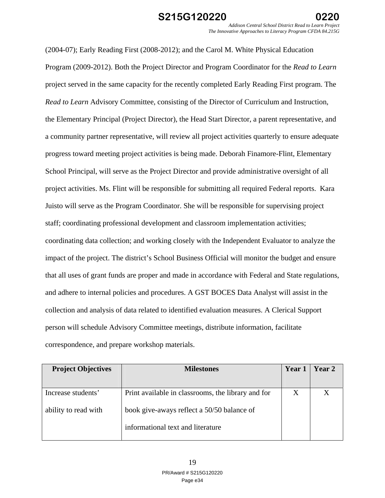(2004-07); Early Reading First (2008-2012); and the Carol M. White Physical Education Program (2009-2012). Both the Project Director and Program Coordinator for the *Read to Learn*  project served in the same capacity for the recently completed Early Reading First program. The *Read to Learn* Advisory Committee, consisting of the Director of Curriculum and Instruction, the Elementary Principal (Project Director), the Head Start Director, a parent representative, and a community partner representative, will review all project activities quarterly to ensure adequate progress toward meeting project activities is being made. Deborah Finamore-Flint, Elementary School Principal, will serve as the Project Director and provide administrative oversight of all project activities. Ms. Flint will be responsible for submitting all required Federal reports. Kara Juisto will serve as the Program Coordinator. She will be responsible for supervising project staff; coordinating professional development and classroom implementation activities; coordinating data collection; and working closely with the Independent Evaluator to analyze the impact of the project. The district's School Business Official will monitor the budget and ensure that all uses of grant funds are proper and made in accordance with Federal and State regulations, and adhere to internal policies and procedures. A GST BOCES Data Analyst will assist in the collection and analysis of data related to identified evaluation measures. A Clerical Support person will schedule Advisory Committee meetings, distribute information, facilitate correspondence, and prepare workshop materials.

| <b>Project Objectives</b> | <b>Milestones</b>                                  | Year 1 | Year 2 |
|---------------------------|----------------------------------------------------|--------|--------|
|                           |                                                    |        |        |
| Increase students'        | Print available in classrooms, the library and for | X      |        |
| ability to read with      | book give-aways reflect a 50/50 balance of         |        |        |
|                           | informational text and literature                  |        |        |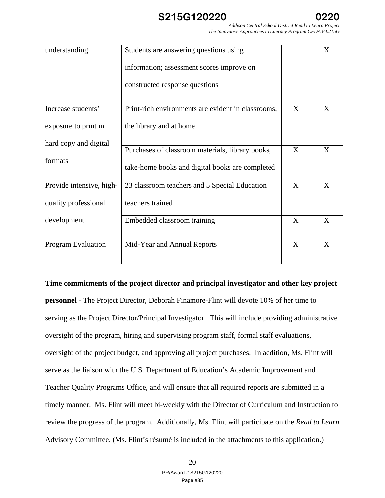*Addison Central School District Read to Learn Project The Innovative Approaches to Literacy Program CFDA 84.215G* 

| understanding             | Students are answering questions using             |   | X |
|---------------------------|----------------------------------------------------|---|---|
|                           | information; assessment scores improve on          |   |   |
|                           | constructed response questions                     |   |   |
| Increase students'        | Print-rich environments are evident in classrooms, | X | X |
| exposure to print in      | the library and at home                            |   |   |
| hard copy and digital     | Purchases of classroom materials, library books,   | X | X |
| formats                   | take-home books and digital books are completed    |   |   |
| Provide intensive, high-  | 23 classroom teachers and 5 Special Education      | X | X |
| quality professional      | teachers trained                                   |   |   |
| development               | Embedded classroom training                        | X | X |
| <b>Program Evaluation</b> | Mid-Year and Annual Reports                        | X | X |
|                           |                                                    |   |   |

### **Time commitments of the project director and principal investigator and other key project**

**personnel -** The Project Director, Deborah Finamore-Flint will devote 10% of her time to serving as the Project Director/Principal Investigator. This will include providing administrative oversight of the program, hiring and supervising program staff, formal staff evaluations, oversight of the project budget, and approving all project purchases. In addition, Ms. Flint will serve as the liaison with the U.S. Department of Education's Academic Improvement and Teacher Quality Programs Office, and will ensure that all required reports are submitted in a timely manner. Ms. Flint will meet bi-weekly with the Director of Curriculum and Instruction to review the progress of the program. Additionally, Ms. Flint will participate on the *Read to Learn*  Advisory Committee. (Ms. Flint's résumé is included in the attachments to this application.)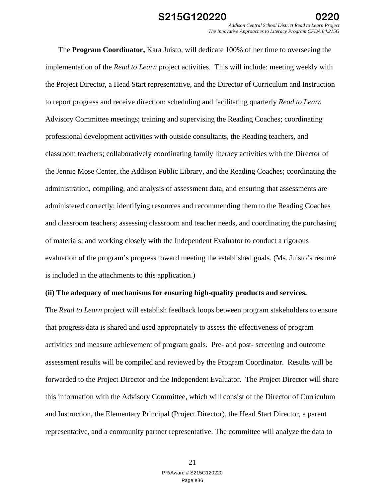*Addison Central School District Read to Learn Project The Innovative Approaches to Literacy Program CFDA 84.215G* 

 The **Program Coordinator,** Kara Juisto, will dedicate 100% of her time to overseeing the implementation of the *Read to Learn* project activities. This will include: meeting weekly with the Project Director, a Head Start representative, and the Director of Curriculum and Instruction to report progress and receive direction; scheduling and facilitating quarterly *Read to Learn*  Advisory Committee meetings; training and supervising the Reading Coaches; coordinating professional development activities with outside consultants, the Reading teachers, and classroom teachers; collaboratively coordinating family literacy activities with the Director of the Jennie Mose Center, the Addison Public Library, and the Reading Coaches; coordinating the administration, compiling, and analysis of assessment data, and ensuring that assessments are administered correctly; identifying resources and recommending them to the Reading Coaches and classroom teachers; assessing classroom and teacher needs, and coordinating the purchasing of materials; and working closely with the Independent Evaluator to conduct a rigorous evaluation of the program's progress toward meeting the established goals. (Ms. Juisto's résumé is included in the attachments to this application.)

#### **(ii) The adequacy of mechanisms for ensuring high-quality products and services.**

The *Read to Learn* project will establish feedback loops between program stakeholders to ensure that progress data is shared and used appropriately to assess the effectiveness of program activities and measure achievement of program goals. Pre- and post- screening and outcome assessment results will be compiled and reviewed by the Program Coordinator. Results will be forwarded to the Project Director and the Independent Evaluator. The Project Director will share this information with the Advisory Committee, which will consist of the Director of Curriculum and Instruction, the Elementary Principal (Project Director), the Head Start Director, a parent representative, and a community partner representative. The committee will analyze the data to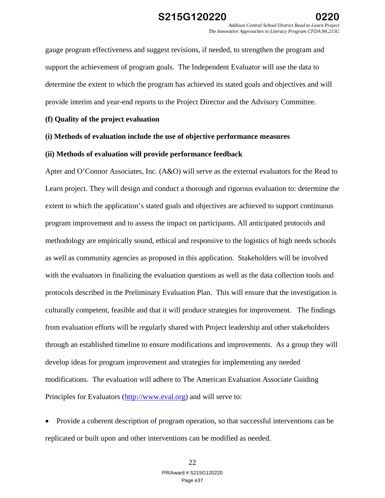gauge program effectiveness and suggest revisions, if needed, to strengthen the program and support the achievement of program goals. The Independent Evaluator will use the data to determine the extent to which the program has achieved its stated goals and objectives and will provide interim and year-end reports to the Project Director and the Advisory Committee.

### **(f) Quality of the project evaluation**

### **(i) Methods of evaluation include the use of objective performance measures**

### **(ii) Methods of evaluation will provide performance feedback**

Apter and O'Connor Associates, Inc. (A&O) will serve as the external evaluators for the Read to Learn project. They will design and conduct a thorough and rigorous evaluation to: determine the extent to which the application's stated goals and objectives are achieved to support continuous program improvement and to assess the impact on participants. All anticipated protocols and methodology are empirically sound, ethical and responsive to the logistics of high needs schools as well as community agencies as proposed in this application. Stakeholders will be involved with the evaluators in finalizing the evaluation questions as well as the data collection tools and protocols described in the Preliminary Evaluation Plan. This will ensure that the investigation is culturally competent, feasible and that it will produce strategies for improvement. The findings from evaluation efforts will be regularly shared with Project leadership and other stakeholders through an established timeline to ensure modifications and improvements. As a group they will develop ideas for program improvement and strategies for implementing any needed modifications. The evaluation will adhere to The American Evaluation Associate Guiding Principles for Evaluators (http://www.eval.org) and will serve to:

 Provide a coherent description of program operation, so that successful interventions can be replicated or built upon and other interventions can be modified as needed.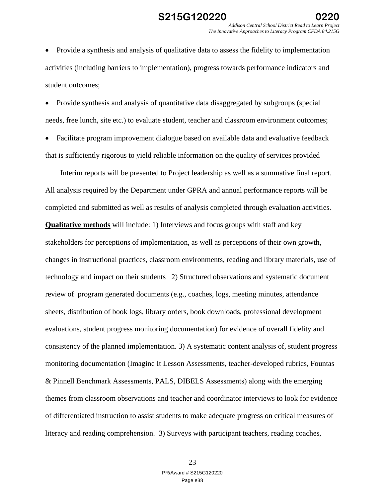Provide a synthesis and analysis of qualitative data to assess the fidelity to implementation activities (including barriers to implementation), progress towards performance indicators and student outcomes;

 Provide synthesis and analysis of quantitative data disaggregated by subgroups (special needs, free lunch, site etc.) to evaluate student, teacher and classroom environment outcomes;

 Facilitate program improvement dialogue based on available data and evaluative feedback that is sufficiently rigorous to yield reliable information on the quality of services provided

 Interim reports will be presented to Project leadership as well as a summative final report. All analysis required by the Department under GPRA and annual performance reports will be completed and submitted as well as results of analysis completed through evaluation activities. **Qualitative methods** will include: 1) Interviews and focus groups with staff and key stakeholders for perceptions of implementation, as well as perceptions of their own growth, changes in instructional practices, classroom environments, reading and library materials, use of technology and impact on their students 2) Structured observations and systematic document review of program generated documents (e.g., coaches, logs, meeting minutes, attendance sheets, distribution of book logs, library orders, book downloads, professional development evaluations, student progress monitoring documentation) for evidence of overall fidelity and consistency of the planned implementation. 3) A systematic content analysis of, student progress monitoring documentation (Imagine It Lesson Assessments, teacher-developed rubrics, Fountas & Pinnell Benchmark Assessments, PALS, DIBELS Assessments) along with the emerging themes from classroom observations and teacher and coordinator interviews to look for evidence of differentiated instruction to assist students to make adequate progress on critical measures of literacy and reading comprehension. 3) Surveys with participant teachers, reading coaches,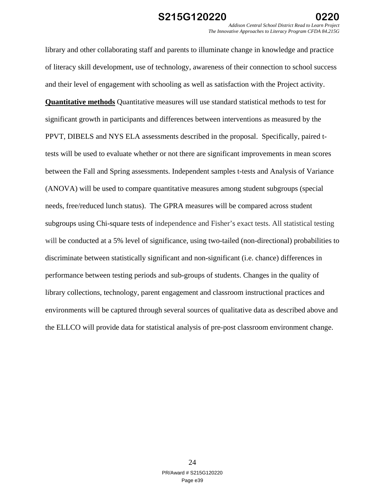library and other collaborating staff and parents to illuminate change in knowledge and practice of literacy skill development, use of technology, awareness of their connection to school success and their level of engagement with schooling as well as satisfaction with the Project activity. **Quantitative methods** Quantitative measures will use standard statistical methods to test for significant growth in participants and differences between interventions as measured by the PPVT, DIBELS and NYS ELA assessments described in the proposal. Specifically, paired ttests will be used to evaluate whether or not there are significant improvements in mean scores between the Fall and Spring assessments. Independent samples t-tests and Analysis of Variance (ANOVA) will be used to compare quantitative measures among student subgroups (special needs, free/reduced lunch status). The GPRA measures will be compared across student subgroups using Chi-square tests of independence and Fisher's exact tests. All statistical testing will be conducted at a 5% level of significance, using two-tailed (non-directional) probabilities to discriminate between statistically significant and non-significant (i.e. chance) differences in performance between testing periods and sub-groups of students. Changes in the quality of library collections, technology, parent engagement and classroom instructional practices and environments will be captured through several sources of qualitative data as described above and the ELLCO will provide data for statistical analysis of pre-post classroom environment change.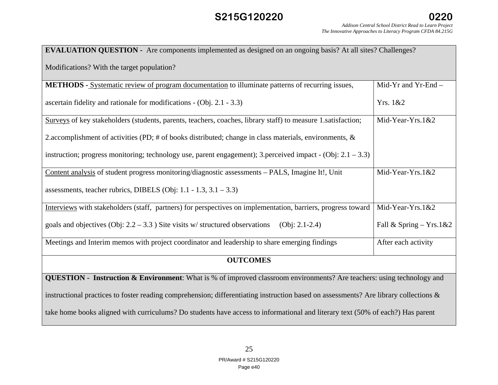# **S215G120220**

| <b>EVALUATION QUESTION</b> - Are components implemented as designed on an ongoing basis? At all sites? Challenges? |
|--------------------------------------------------------------------------------------------------------------------|
|                                                                                                                    |

Modifications? With the target population?

| <b>METHODS</b> - Systematic review of program documentation to illuminate patterns of recurring issues,                       | Mid-Yr and Yr-End $-$   |  |
|-------------------------------------------------------------------------------------------------------------------------------|-------------------------|--|
| ascertain fidelity and rationale for modifications - $(Obj. 2.1 - 3.3)$                                                       | Yrs. 1&&2               |  |
| Surveys of key stakeholders (students, parents, teachers, coaches, library staff) to measure 1. satisfaction;                 | Mid-Year-Yrs. $1&&2$    |  |
| 2.accomplishment of activities (PD; # of books distributed; change in class materials, environments, $\&$                     |                         |  |
| instruction; progress monitoring; technology use, parent engagement); 3.perceived impact - (Obj: $2.1 - 3.3$ )                |                         |  |
| Content analysis of student progress monitoring/diagnostic assessments - PALS, Imagine It!, Unit                              | Mid-Year-Yrs.1&2        |  |
| assessments, teacher rubrics, DIBELS (Obj: 1.1 - 1.3, $3.1 - 3.3$ )                                                           |                         |  |
| Interviews with stakeholders (staff, partners) for perspectives on implementation, barriers, progress toward                  | Mid-Year-Yrs. $1&&2$    |  |
| goals and objectives (Obj: $2.2 - 3.3$ ) Site visits w/structured observations (Obj: 2.1-2.4)                                 | Fall & Spring – Yrs.1&2 |  |
| Meetings and Interim memos with project coordinator and leadership to share emerging findings                                 | After each activity     |  |
| <b>OUTCOMES</b>                                                                                                               |                         |  |
| <b>QUESTION</b> - Instruction & Environment: What is % of improved classroom environments? Are teachers: using technology and |                         |  |

instructional practices to foster reading comprehension; differentiating instruction based on assessments? Are library collections &

take home books aligned with curriculums? Do students have access to informational and literary text (50% of each?) Has parent